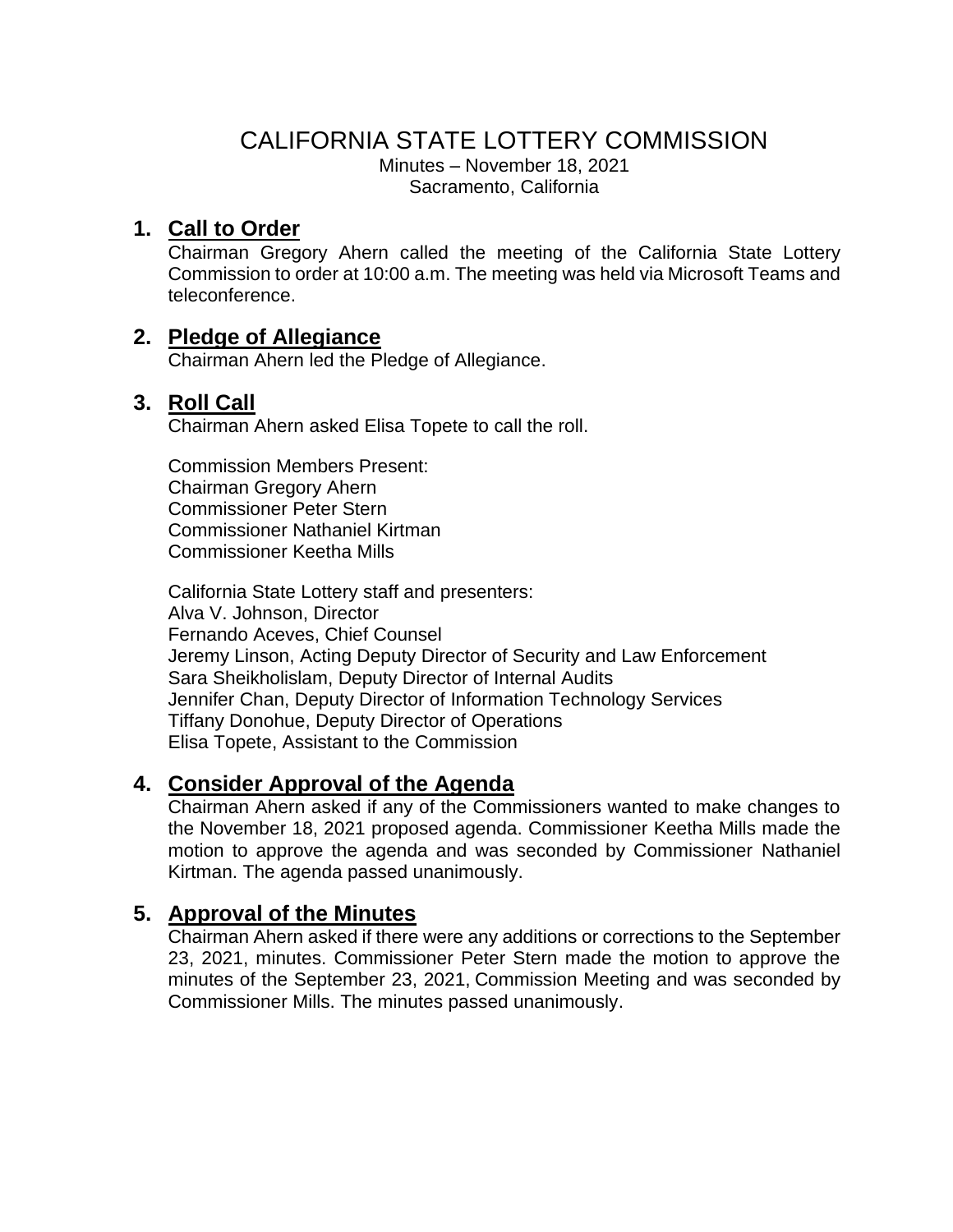# CALIFORNIA STATE LOTTERY COMMISSION

Minutes – November 18, 2021 Sacramento, California

# **1. Call to Order**

Chairman Gregory Ahern called the meeting of the California State Lottery Commission to order at 10:00 a.m. The meeting was held via Microsoft Teams and teleconference.

# **2. Pledge of Allegiance**

Chairman Ahern led the Pledge of Allegiance.

# **3. Roll Call**

Chairman Ahern asked Elisa Topete to call the roll.

Commission Members Present: Chairman Gregory Ahern Commissioner Peter Stern Commissioner Nathaniel Kirtman Commissioner Keetha Mills

California State Lottery staff and presenters: Alva V. Johnson, Director Fernando Aceves, Chief Counsel Jeremy Linson, Acting Deputy Director of Security and Law Enforcement Sara Sheikholislam, Deputy Director of Internal Audits Jennifer Chan, Deputy Director of Information Technology Services Tiffany Donohue, Deputy Director of Operations Elisa Topete, Assistant to the Commission

# **4. Consider Approval of the Agenda**

Chairman Ahern asked if any of the Commissioners wanted to make changes to the November 18, 2021 proposed agenda. Commissioner Keetha Mills made the motion to approve the agenda and was seconded by Commissioner Nathaniel Kirtman. The agenda passed unanimously.

# **5. Approval of the Minutes**

Chairman Ahern asked if there were any additions or corrections to the September 23, 2021, minutes. Commissioner Peter Stern made the motion to approve the minutes of the September 23, 2021, Commission Meeting and was seconded by Commissioner Mills. The minutes passed unanimously.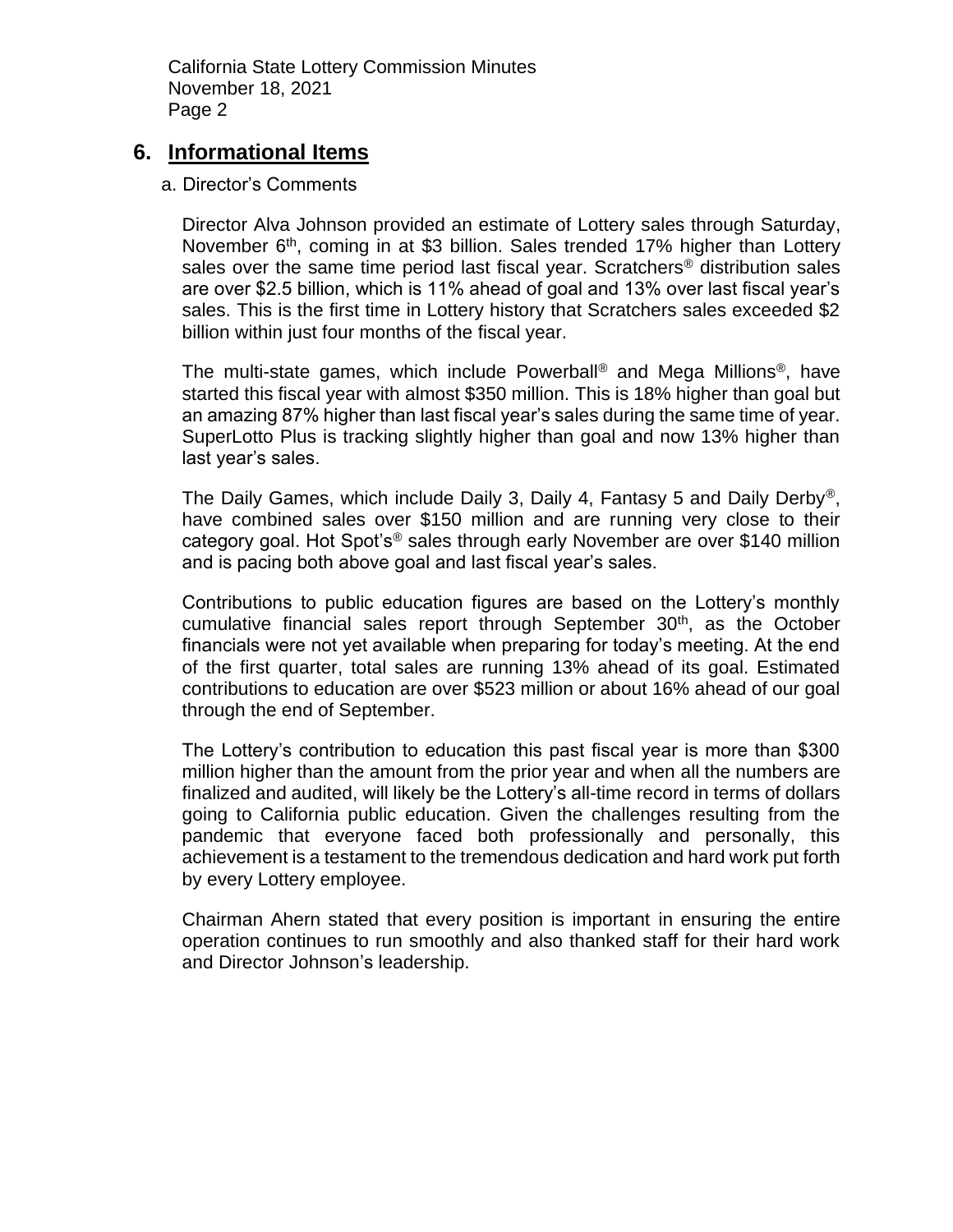### **6. Informational Items**

#### a. Director's Comments

Director Alva Johnson provided an estimate of Lottery sales through Saturday, November 6<sup>th</sup>, coming in at \$3 billion. Sales trended 17% higher than Lottery sales over the same time period last fiscal year. Scratchers<sup>®</sup> distribution sales are over \$2.5 billion, which is 11% ahead of goal and 13% over last fiscal year's sales. This is the first time in Lottery history that Scratchers sales exceeded \$2 billion within just four months of the fiscal year.

The multi-state games, which include Powerball® and Mega Millions®, have started this fiscal year with almost \$350 million. This is 18% higher than goal but an amazing 87% higher than last fiscal year's sales during the same time of year. SuperLotto Plus is tracking slightly higher than goal and now 13% higher than last year's sales.

The Daily Games, which include Daily 3, Daily 4, Fantasy 5 and Daily Derby®, have combined sales over \$150 million and are running very close to their category goal. Hot Spot's® sales through early November are over \$140 million and is pacing both above goal and last fiscal year's sales.

Contributions to public education figures are based on the Lottery's monthly cumulative financial sales report through September 30<sup>th</sup>, as the October financials were not yet available when preparing for today's meeting. At the end of the first quarter, total sales are running 13% ahead of its goal. Estimated contributions to education are over \$523 million or about 16% ahead of our goal through the end of September.

The Lottery's contribution to education this past fiscal year is more than \$300 million higher than the amount from the prior year and when all the numbers are finalized and audited, will likely be the Lottery's all-time record in terms of dollars going to California public education. Given the challenges resulting from the pandemic that everyone faced both professionally and personally, this achievement is a testament to the tremendous dedication and hard work put forth by every Lottery employee.

Chairman Ahern stated that every position is important in ensuring the entire operation continues to run smoothly and also thanked staff for their hard work and Director Johnson's leadership.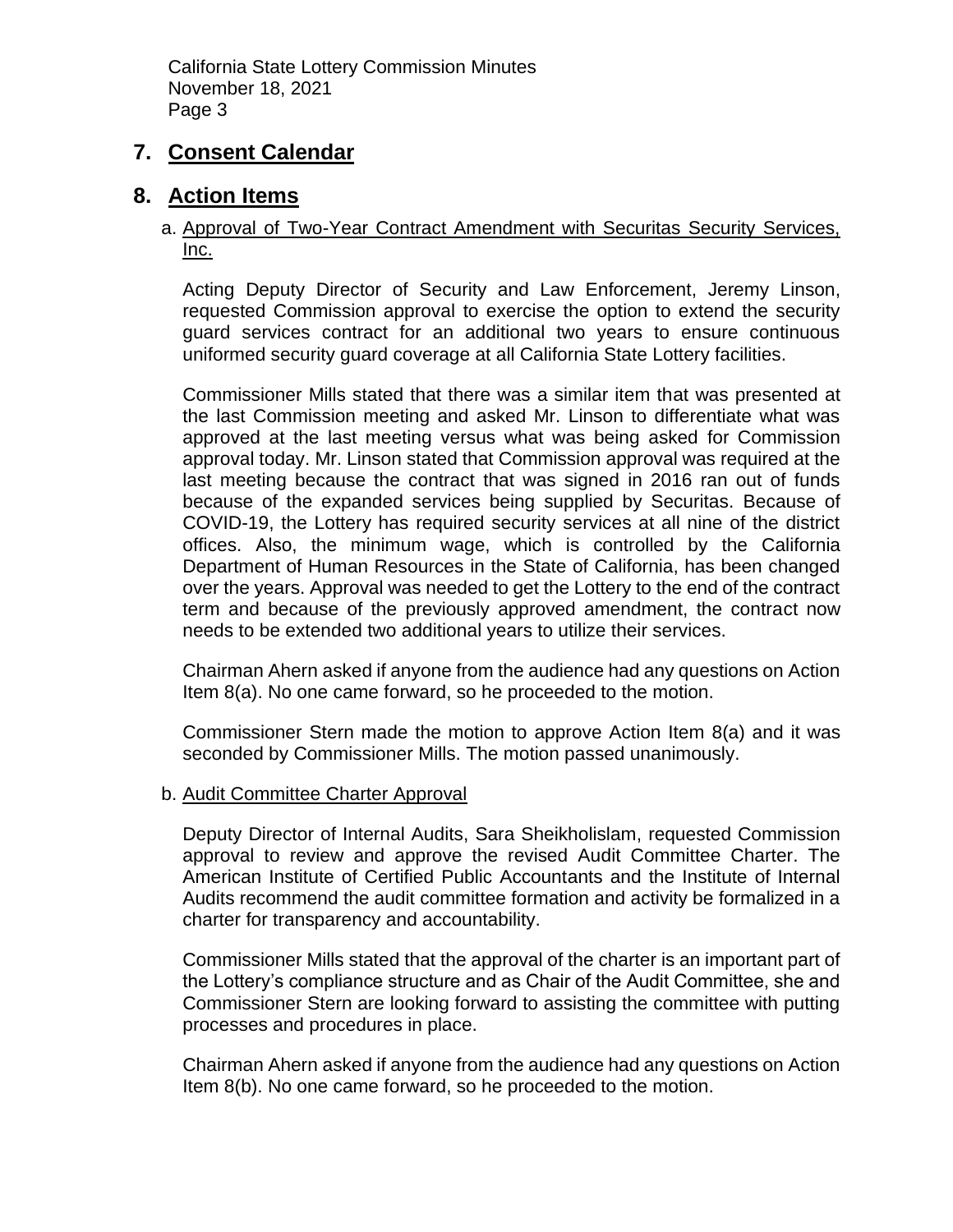# **7. Consent Calendar**

### **8. Action Items**

### a. Approval of Two-Year Contract Amendment with Securitas Security Services, Inc.

Acting Deputy Director of Security and Law Enforcement, Jeremy Linson, requested Commission approval to exercise the option to extend the security guard services contract for an additional two years to ensure continuous uniformed security guard coverage at all California State Lottery facilities.

Commissioner Mills stated that there was a similar item that was presented at the last Commission meeting and asked Mr. Linson to differentiate what was approved at the last meeting versus what was being asked for Commission approval today. Mr. Linson stated that Commission approval was required at the last meeting because the contract that was signed in 2016 ran out of funds because of the expanded services being supplied by Securitas. Because of COVID-19, the Lottery has required security services at all nine of the district offices. Also, the minimum wage, which is controlled by the California Department of Human Resources in the State of California, has been changed over the years. Approval was needed to get the Lottery to the end of the contract term and because of the previously approved amendment, the contract now needs to be extended two additional years to utilize their services.

Chairman Ahern asked if anyone from the audience had any questions on Action Item 8(a). No one came forward, so he proceeded to the motion.

Commissioner Stern made the motion to approve Action Item 8(a) and it was seconded by Commissioner Mills. The motion passed unanimously.

#### b. Audit Committee Charter Approval

Deputy Director of Internal Audits, Sara Sheikholislam, requested Commission approval to review and approve the revised Audit Committee Charter. The American Institute of Certified Public Accountants and the Institute of Internal Audits recommend the audit committee formation and activity be formalized in a charter for transparency and accountability.

Commissioner Mills stated that the approval of the charter is an important part of the Lottery's compliance structure and as Chair of the Audit Committee, she and Commissioner Stern are looking forward to assisting the committee with putting processes and procedures in place.

Chairman Ahern asked if anyone from the audience had any questions on Action Item 8(b). No one came forward, so he proceeded to the motion.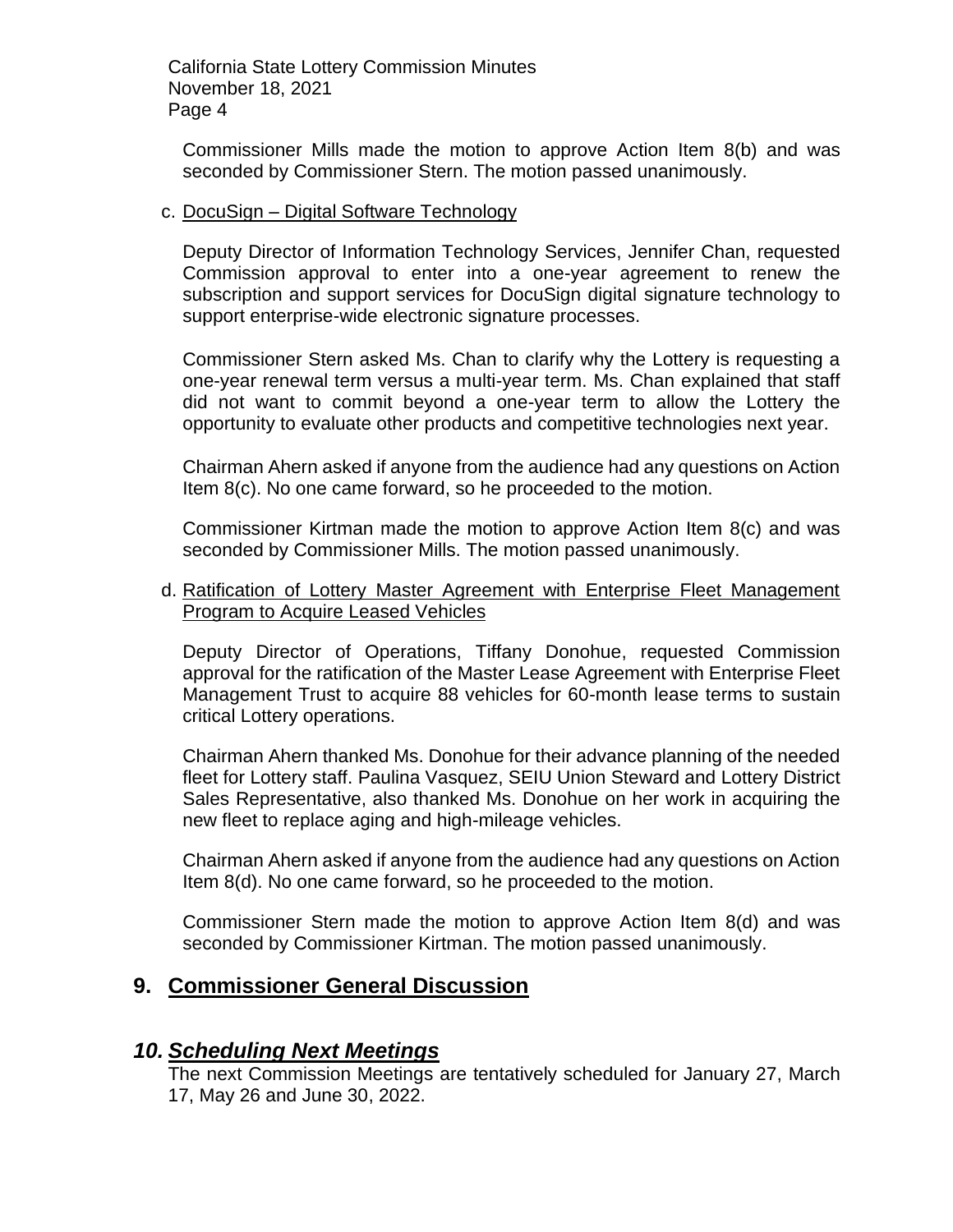Commissioner Mills made the motion to approve Action Item 8(b) and was seconded by Commissioner Stern. The motion passed unanimously.

#### c. DocuSign – Digital Software Technology

Deputy Director of Information Technology Services, Jennifer Chan, requested Commission approval to enter into a one-year agreement to renew the subscription and support services for DocuSign digital signature technology to support enterprise-wide electronic signature processes.

Commissioner Stern asked Ms. Chan to clarify why the Lottery is requesting a one-year renewal term versus a multi-year term. Ms. Chan explained that staff did not want to commit beyond a one-year term to allow the Lottery the opportunity to evaluate other products and competitive technologies next year.

Chairman Ahern asked if anyone from the audience had any questions on Action Item 8(c). No one came forward, so he proceeded to the motion.

Commissioner Kirtman made the motion to approve Action Item 8(c) and was seconded by Commissioner Mills. The motion passed unanimously.

#### d. Ratification of Lottery Master Agreement with Enterprise Fleet Management Program to Acquire Leased Vehicles

Deputy Director of Operations, Tiffany Donohue, requested Commission approval for the ratification of the Master Lease Agreement with Enterprise Fleet Management Trust to acquire 88 vehicles for 60-month lease terms to sustain critical Lottery operations.

Chairman Ahern thanked Ms. Donohue for their advance planning of the needed fleet for Lottery staff. Paulina Vasquez, SEIU Union Steward and Lottery District Sales Representative, also thanked Ms. Donohue on her work in acquiring the new fleet to replace aging and high-mileage vehicles.

Chairman Ahern asked if anyone from the audience had any questions on Action Item 8(d). No one came forward, so he proceeded to the motion.

Commissioner Stern made the motion to approve Action Item 8(d) and was seconded by Commissioner Kirtman. The motion passed unanimously.

# **9. Commissioner General Discussion**

### *10. Scheduling Next Meetings*

The next Commission Meetings are tentatively scheduled for January 27, March 17, May 26 and June 30, 2022.